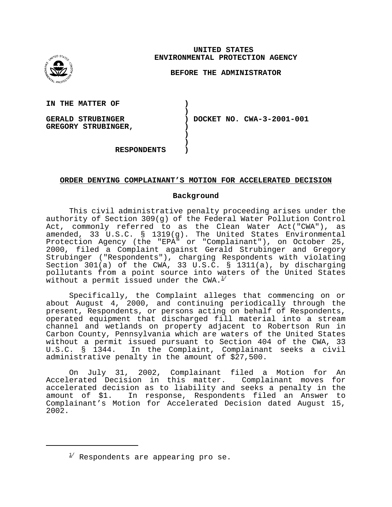

**UNITED STATES ENVIRONMENTAL PROTECTION AGENCY** 

## **BEFORE THE ADMINISTRATOR**

**IN THE MATTER OF** 

**GERALD STRUBINGER GREGORY STRUBINGER,**  **) DOCKET NO. CWA-3-2001-001** 

**RESPONDENTS )** 

## **ORDER DENYING COMPLAINANT'S MOTION FOR ACCELERATED DECISION**

**) )** 

**) ) )** 

## **Background**

This civil administrative penalty proceeding arises under the authority of Section 309(g) of the Federal Water Pollution Control Act, commonly referred to as the Clean Water Act("CWA"), as amended, 33 U.S.C. § 1319(g). The United States Environmental Protection Agency (the "EPA" or "Complainant"), on October 25, 2000, filed a Complaint against Gerald Strubinger and Gregory Strubinger ("Respondents"), charging Respondents with violating Section 301(a) of the CWA, 33 U.S.C. § 1311(a), by discharging pollutants from a point source into waters of the United States without a permit issued under the CWA. $1/$ 

Specifically, the Complaint alleges that commencing on or about August 4, 2000, and continuing periodically through the present, Respondents, or persons acting on behalf of Respondents, operated equipment that discharged fill material into a stream channel and wetlands on property adjacent to Robertson Run in Carbon County, Pennsylvania which are waters of the United States without a permit issued pursuant to Section 404 of the CWA, 33 U.S.C. § 1344. In the Complaint, Complainant seeks a civil administrative penalty in the amount of \$27,500.

On July 31, 2002, Complainant filed a Motion for An Accelerated Decision in this matter. Complainant moves for accelerated decision as to liability and seeks a penalty in the amount of \$1. In response, Respondents filed an Answer to Complainant's Motion for Accelerated Decision dated August 15, 2002.

 $^{1/2}$  Respondents are appearing pro se.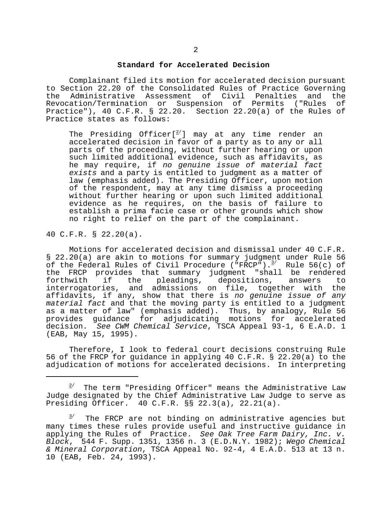#### **Standard for Accelerated Decision**

Complainant filed its motion for accelerated decision pursuant to Section 22.20 of the Consolidated Rules of Practice Governing the Administrative Assessment of Civil Penalties and the Revocation/Termination or Suspension of Permits ("Rules of Practice"), 40 C.F.R. § 22.20. Section 22.20(a) of the Rules of Practice states as follows:

The Presiding Officer $[^{2\prime}]$  may at any time render an accelerated decision in favor of a party as to any or all parts of the proceeding, without further hearing or upon such limited additional evidence, such as affidavits, as he may require, if no genuine issue of material fact exists and a party is entitled to judgment as a matter of law (emphasis added). The Presiding Officer, upon motion of the respondent, may at any time dismiss a proceeding without further hearing or upon such limited additional evidence as he requires, on the basis of failure to establish a prima facie case or other grounds which show no right to relief on the part of the complainant.

40 C.F.R. § 22.20(a).

Motions for accelerated decision and dismissal under 40 C.F.R. § 22.20(a) are akin to motions for summary judgment under Rule 56 of the Federal Rules of Civil Procedure ("FRCP"). $3/$  Rule 56(c) of the FRCP provides that summary judgment "shall be rendered forthwith if the pleadings, depositions, answers to interrogatories, and admissions on file, together with the affidavits, if any, show that there is no genuine issue of any material fact and that the moving party is entitled to a judgment as a matter of law" (emphasis added). Thus, by analogy, Rule 56 provides guidance for adjudicating motions for accelerated decision. See CWM Chemical Service, TSCA Appeal 93-1, 6 E.A.D. 1 (EAB, May 15, 1995).

Therefore, I look to federal court decisions construing Rule 56 of the FRCP for guidance in applying 40 C.F.R. § 22.20(a) to the adjudication of motions for accelerated decisions. In interpreting

2/ The term "Presiding Officer" means the Administrative Law Judge designated by the Chief Administrative Law Judge to serve as Presiding Officer. 40 C.F.R. §§ 22.3(a), 22.21(a).

 $3$ <sup>1</sup> The FRCP are not binding on administrative agencies but many times these rules provide useful and instructive guidance in applying the Rules of Practice. See Oak Tree Farm Dairy, Inc. v. Block, 544 F. Supp. 1351, 1356 n. 3 (E.D.N.Y. 1982); Wego Chemical & Mineral Corporation, TSCA Appeal No. 92-4, 4 E.A.D. 513 at 13 n. 10 (EAB, Feb. 24, 1993).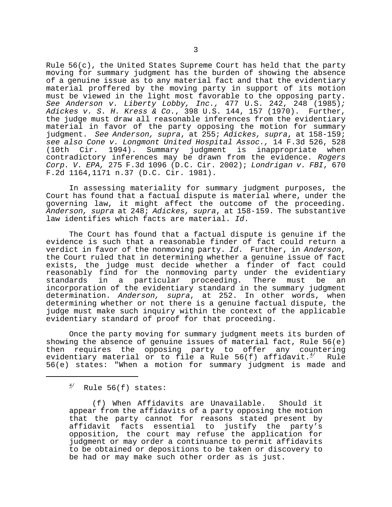Rule 56(c), the United States Supreme Court has held that the party moving for summary judgment has the burden of showing the absence of a genuine issue as to any material fact and that the evidentiary material proffered by the moving party in support of its motion must be viewed in the light most favorable to the opposing party. See Anderson v. Liberty Lobby, Inc., 477 U.S. 242, 248 (1985); Adickes v. S. H. Kress & Co., 398 U.S. 144, 157 (1970). Further, the judge must draw all reasonable inferences from the evidentiary material in favor of the party opposing the motion for summary judgment. See Anderson, supra, at 255; Adickes, supra, at 158-159; see also Cone v. Longmont United Hospital Assoc., 14 F.3d 526, 528 (10th Cir. 1994). Summary judgment is inappropriate when contradictory inferences may be drawn from the evidence. Rogers Corp. V. EPA, 275 F.3d 1096 (D.C. Cir. 2002); Londrigan v. FBI, 670 F.2d 1164,1171 n.37 (D.C. Cir. 1981).

In assessing materiality for summary judgment purposes, the Court has found that a factual dispute is material where, under the governing law, it might affect the outcome of the proceeding. Anderson, supra at 248; Adickes, supra, at 158-159. The substantive law identifies which facts are material. Id.

The Court has found that a factual dispute is genuine if the evidence is such that a reasonable finder of fact could return a verdict in favor of the nonmoving party. Id. Further, in Anderson, the Court ruled that in determining whether a genuine issue of fact exists, the judge must decide whether a finder of fact could reasonably find for the nonmoving party under the evidentiary standards in a particular proceeding. There must be an incorporation of the evidentiary standard in the summary judgment determination. Anderson, supra, at 252. In other words, when determining whether or not there is a genuine factual dispute, the judge must make such inquiry within the context of the applicable evidentiary standard of proof for that proceeding.

Once the party moving for summary judgment meets its burden of showing the absence of genuine issues of material fact, Rule 56(e) then requires the opposing party to offer any countering evidentiary material or to file a Rule 56(f) affidavit. $4/$  Rule 56(e) states: "When a motion for summary judgment is made and

 $4$ <sup>4</sup> Rule 56(f) states:

(f) When Affidavits are Unavailable. Should it appear from the affidavits of a party opposing the motion that the party cannot for reasons stated present by affidavit facts essential to justify the party's opposition, the court may refuse the application for judgment or may order a continuance to permit affidavits to be obtained or depositions to be taken or discovery to be had or may make such other order as is just.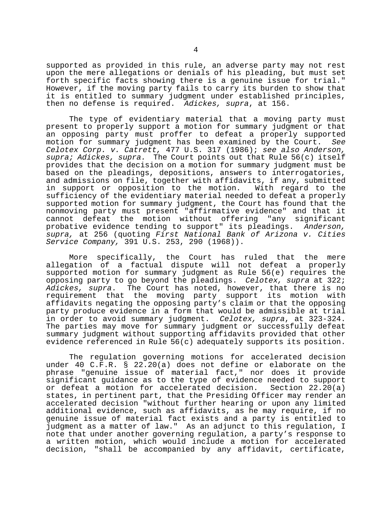supported as provided in this rule, an adverse party may not rest upon the mere allegations or denials of his pleading, but must set forth specific facts showing there is a genuine issue for trial." However, if the moving party fails to carry its burden to show that it is entitled to summary judgment under established principles, then no defense is required. Adickes, supra, at 156.

The type of evidentiary material that a moving party must present to properly support a motion for summary judgment or that an opposing party must proffer to defeat a properly supported motion for summary judgment has been examined by the Court. See Celotex Corp. v. Catrett, 477 U.S. 317 (1986); see also Anderson, supra; Adickes, supra. The Court points out that Rule 56(c) itself provides that the decision on a motion for summary judgment must be based on the pleadings, depositions, answers to interrogatories, and admissions on file, together with affidavits, if any, submitted in support or opposition to the motion. With regard to the sufficiency of the evidentiary material needed to defeat a properly supported motion for summary judgment, the Court has found that the nonmoving party must present "affirmative evidence" and that it cannot defeat the motion without offering "any significant probative evidence tending to support" its pleadings. Anderson, supra, at 256 (quoting First National Bank of Arizona v. Cities Service Company, 391 U.S. 253, 290 (1968)).

More specifically, the Court has ruled that the mere allegation of a factual dispute will not defeat a properly supported motion for summary judgment as Rule 56(e) requires the opposing party to go beyond the pleadings. Celotex, supra at 322; Adickes, supra. The Court has noted, however, that there is no requirement that the moving party support its motion with affidavits negating the opposing party's claim or that the opposing party produce evidence in a form that would be admissible at trial in order to avoid summary judgment. Celotex, supra, at 323-324. The parties may move for summary judgment or successfully defeat summary judgment without supporting affidavits provided that other evidence referenced in Rule 56(c) adequately supports its position.

The regulation governing motions for accelerated decision under 40 C.F.R. § 22.20(a) does not define or elaborate on the phrase "genuine issue of material fact," nor does it provide significant guidance as to the type of evidence needed to support or defeat a motion for accelerated decision. Section  $22.20(a)$ states, in pertinent part, that the Presiding Officer may render an accelerated decision "without further hearing or upon any limited additional evidence, such as affidavits, as he may require, if no genuine issue of material fact exists and a party is entitled to judgment as a matter of law." As an adjunct to this regulation, I note that under another governing regulation, a party's response to a written motion, which would include a motion for accelerated decision, "shall be accompanied by any affidavit, certificate,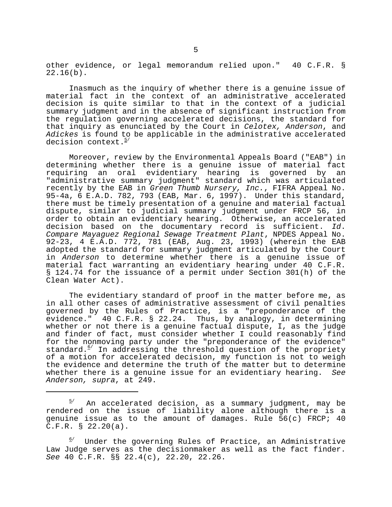other evidence, or legal memorandum relied upon." 40 C.F.R. § 22.16(b).

Inasmuch as the inquiry of whether there is a genuine issue of material fact in the context of an administrative accelerated decision is quite similar to that in the context of a judicial summary judgment and in the absence of significant instruction from the regulation governing accelerated decisions, the standard for that inquiry as enunciated by the Court in Celotex, Anderson, and Adickes is found to be applicable in the administrative accelerated decision context.<sup>5/</sup>

Moreover, review by the Environmental Appeals Board ("EAB") in determining whether there is a genuine issue of material fact requiring an oral evidentiary hearing is governed by an "administrative summary judgment" standard which was articulated recently by the EAB in Green Thumb Nursery, Inc., FIFRA Appeal No. 95-4a, 6 E.A.D. 782, 793 (EAB, Mar. 6, 1997). Under this standard, there must be timely presentation of a genuine and material factual dispute, similar to judicial summary judgment under FRCP 56, in order to obtain an evidentiary hearing. Otherwise, an accelerated decision based on the documentary record is sufficient. Id. Compare Mayaguez Regional Sewage Treatment Plant, NPDES Appeal No. 92-23, 4 E.A.D. 772, 781 (EAB, Aug. 23, 1993) (wherein the EAB adopted the standard for summary judgment articulated by the Court in Anderson to determine whether there is a genuine issue of material fact warranting an evidentiary hearing under 40 C.F.R. § 124.74 for the issuance of a permit under Section 301(h) of the Clean Water Act).

The evidentiary standard of proof in the matter before me, as in all other cases of administrative assessment of civil penalties governed by the Rules of Practice, is a "preponderance of the evidence." 40 C.F.R. § 22.24. Thus, by analogy, in determining whether or not there is a genuine factual dispute, I, as the judge and finder of fact, must consider whether I could reasonably find for the nonmoving party under the "preponderance of the evidence" standard.<sup>6</sup> In addressing the threshold question of the propriety of a motion for accelerated decision, my function is not to weigh the evidence and determine the truth of the matter but to determine whether there is a genuine issue for an evidentiary hearing. See Anderson, supra, at 249.

 $^{5/}$  An accelerated decision, as a summary judgment, may be rendered on the issue of liability alone although there is a genuine issue as to the amount of damages. Rule 56(c) FRCP; 40 C.F.R. § 22.20(a).

<sup>6/</sup>  Under the governing Rules of Practice, an Administrative Law Judge serves as the decisionmaker as well as the fact finder. See 40 C.F.R. §§ 22.4(c), 22.20, 22.26.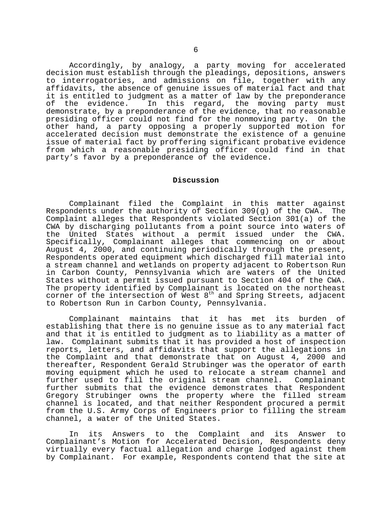Accordingly, by analogy, a party moving for accelerated decision must establish through the pleadings, depositions, answers to interrogatories, and admissions on file, together with any affidavits, the absence of genuine issues of material fact and that it is entitled to judgment as a matter of law by the preponderance of the evidence. In this regard, the moving party must demonstrate, by a preponderance of the evidence, that no reasonable presiding officer could not find for the nonmoving party. On the other hand, a party opposing a properly supported motion for accelerated decision must demonstrate the existence of a genuine issue of material fact by proffering significant probative evidence from which a reasonable presiding officer could find in that party's favor by a preponderance of the evidence.

## **Discussion**

Complainant filed the Complaint in this matter against Respondents under the authority of Section 309(g) of the CWA. The Complaint alleges that Respondents violated Section 301(a) of the CWA by discharging pollutants from a point source into waters of the United States without a permit issued under the CWA. Specifically, Complainant alleges that commencing on or about August 4, 2000, and continuing periodically through the present, Respondents operated equipment which discharged fill material into a stream channel and wetlands on property adjacent to Robertson Run in Carbon County, Pennsylvania which are waters of the United States without a permit issued pursuant to Section 404 of the CWA. The property identified by Complainant is located on the northeast corner of the intersection of West 8<sup>th</sup> and Spring Streets, adjacent to Robertson Run in Carbon County, Pennsylvania.

Complainant maintains that it has met its burden of establishing that there is no genuine issue as to any material fact and that it is entitled to judgment as to liability as a matter of law. Complainant submits that it has provided a host of inspection reports, letters, and affidavits that support the allegations in the Complaint and that demonstrate that on August 4, 2000 and thereafter, Respondent Gerald Strubinger was the operator of earth moving equipment which he used to relocate a stream channel and further used to fill the original stream channel. Complainant further submits that the evidence demonstrates that Respondent Gregory Strubinger owns the property where the filled stream channel is located, and that neither Respondent procured a permit from the U.S. Army Corps of Engineers prior to filling the stream channel, a water of the United States.

In its Answers to the Complaint and its Answer to Complainant's Motion for Accelerated Decision, Respondents deny virtually every factual allegation and charge lodged against them by Complainant. For example, Respondents contend that the site at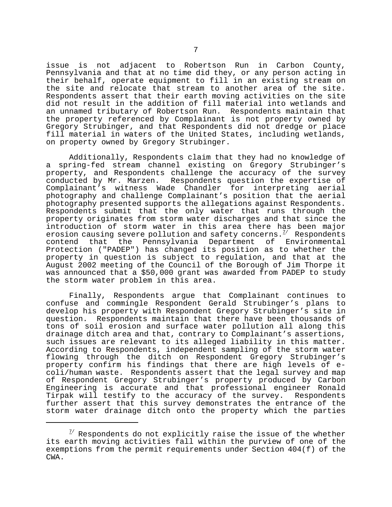issue is not adjacent to Robertson Run in Carbon County, Pennsylvania and that at no time did they, or any person acting in their behalf, operate equipment to fill in an existing stream on the site and relocate that stream to another area of the site. Respondents assert that their earth moving activities on the site did not result in the addition of fill material into wetlands and an unnamed tributary of Robertson Run. Respondents maintain that the property referenced by Complainant is not property owned by Gregory Strubinger, and that Respondents did not dredge or place fill material in waters of the United States, including wetlands, on property owned by Gregory Strubinger.

Additionally, Respondents claim that they had no knowledge of a spring-fed stream channel existing on Gregory Strubinger's property, and Respondents challenge the accuracy of the survey conducted by Mr. Marzen. Respondents question the expertise of Complainant's witness Wade Chandler for interpreting aerial photography and challenge Complainant's position that the aerial photography presented supports the allegations against Respondents. Respondents submit that the only water that runs through the property originates from storm water discharges and that since the introduction of storm water in this area there has been major erosion causing severe pollution and safety concerns. $^{2/2}$  Respondents contend that the Pennsylvania Department of Environmental Protection ("PADEP") has changed its position as to whether the property in question is subject to regulation, and that at the August 2002 meeting of the Council of the Borough of Jim Thorpe it was announced that a \$50,000 grant was awarded from PADEP to study the storm water problem in this area.

Finally, Respondents argue that Complainant continues to confuse and commingle Respondent Gerald Strubinger's plans to develop his property with Respondent Gregory Strubinger's site in question. Respondents maintain that there have been thousands of tons of soil erosion and surface water pollution all along this drainage ditch area and that, contrary to Complainant's assertions, such issues are relevant to its alleged liability in this matter. According to Respondents, independent sampling of the storm water flowing through the ditch on Respondent Gregory Strubinger's property confirm his findings that there are high levels of e coli/human waste. Respondents assert that the legal survey and map of Respondent Gregory Strubinger's property produced by Carbon Engineering is accurate and that professional engineer Ronald Tirpak will testify to the accuracy of the survey. Respondents further assert that this survey demonstrates the entrance of the storm water drainage ditch onto the property which the parties

 $^{7/}$  Respondents do not explicitly raise the issue of the whether its earth moving activities fall within the purview of one of the exemptions from the permit requirements under Section 404(f) of the CWA.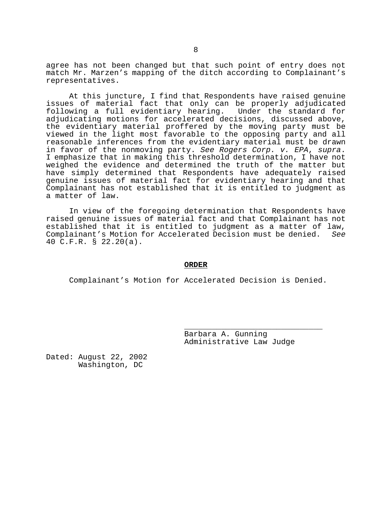agree has not been changed but that such point of entry does not match Mr. Marzen's mapping of the ditch according to Complainant's representatives.

At this juncture, I find that Respondents have raised genuine issues of material fact that only can be properly adjudicated following a full evidentiary hearing. Under the standard for adjudicating motions for accelerated decisions, discussed above, the evidentiary material proffered by the moving party must be viewed in the light most favorable to the opposing party and all reasonable inferences from the evidentiary material must be drawn in favor of the nonmoving party. See Rogers Corp. v. EPA, supra. I emphasize that in making this threshold determination, I have not weighed the evidence and determined the truth of the matter but have simply determined that Respondents have adequately raised genuine issues of material fact for evidentiary hearing and that Complainant has not established that it is entitled to judgment as a matter of law.

In view of the foregoing determination that Respondents have raised genuine issues of material fact and that Complainant has not established that it is entitled to judgment as a matter of law, Complainant's Motion for Accelerated Decision must be denied. See 40 C.F.R. § 22.20(a).

## **ORDER**

Complainant's Motion for Accelerated Decision is Denied.

Barbara A. Gunning Administrative Law Judge

\_\_\_\_\_\_\_\_\_\_\_\_\_\_\_\_\_\_\_\_\_\_\_\_\_\_\_\_\_\_

Dated: August 22, 2002 Washington, DC